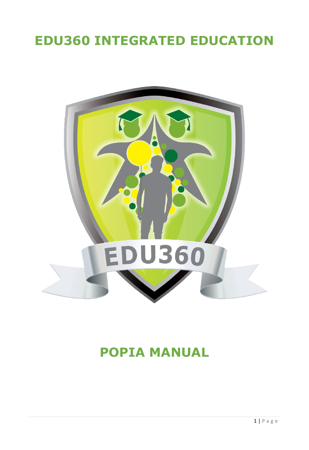# <span id="page-0-0"></span>**EDU360 INTEGRATED EDUCATION**



# **POPIA MANUAL**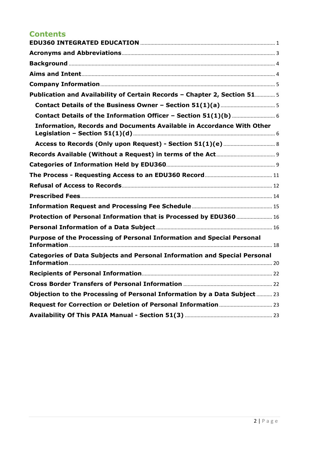# **Contents**

| Publication and Availability of Certain Records - Chapter 2, Section 51 5        |
|----------------------------------------------------------------------------------|
|                                                                                  |
|                                                                                  |
| <b>Information, Records and Documents Available in Accordance With Other</b>     |
|                                                                                  |
|                                                                                  |
|                                                                                  |
|                                                                                  |
|                                                                                  |
|                                                                                  |
|                                                                                  |
| Protection of Personal Information that is Processed by EDU360  16               |
|                                                                                  |
| Purpose of the Processing of Personal Information and Special Personal           |
| <b>Categories of Data Subjects and Personal Information and Special Personal</b> |
|                                                                                  |
|                                                                                  |
| Objection to the Processing of Personal Information by a Data Subject  23        |
|                                                                                  |
|                                                                                  |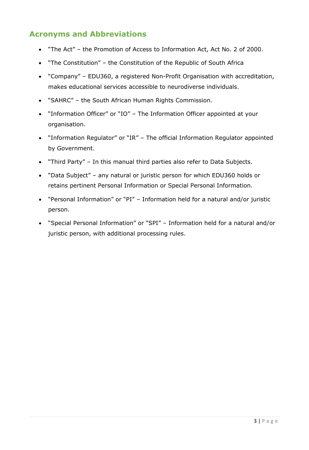# <span id="page-2-0"></span>**Acronyms and Abbreviations**

- "The Act" the Promotion of Access to Information Act, Act No. 2 of 2000.
- "The Constitution" the Constitution of the Republic of South Africa
- "Company" EDU360, a registered Non-Profit Organisation with accreditation, makes educational services accessible to neurodiverse individuals.
- "SAHRC" the South African Human Rights Commission.
- "Information Officer" or "IO" The Information Officer appointed at your organisation.
- "Information Regulator" or "IR" The official Information Regulator appointed by Government.
- "Third Party" In this manual third parties also refer to Data Subjects.
- "Data Subject" any natural or juristic person for which EDU360 holds or retains pertinent Personal Information or Special Personal Information.
- "Personal Information" or "PI" Information held for a natural and/or juristic person.
- "Special Personal Information" or "SPI" Information held for a natural and/or juristic person, with additional processing rules.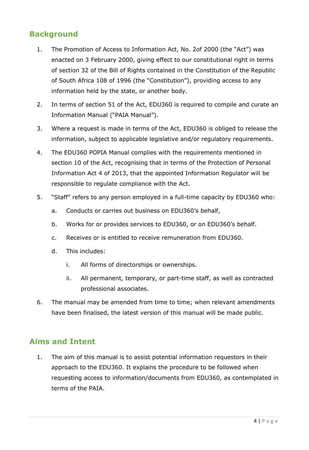# <span id="page-3-0"></span>**Background**

- 1. The Promotion of Access to Information Act, No. 2of 2000 (the "Act") was enacted on 3 February 2000, giving effect to our constitutional right in terms of section 32 of the Bill of Rights contained in the Constitution of the Republic of South Africa 108 of 1996 (the "Constitution"), providing access to any information held by the state, or another body.
- 2. In terms of section 51 of the Act, EDU360 is required to compile and curate an Information Manual ("PAIA Manual").
- 3. Where a request is made in terms of the Act, EDU360 is obliged to release the information, subject to applicable legislative and/or regulatory requirements.
- 4. The EDU360 POPIA Manual complies with the requirements mentioned in section 10 of the Act, recognising that in terms of the Protection of Personal Information Act 4 of 2013, that the appointed Information Regulator will be responsible to regulate compliance with the Act.
- 5. "Staff" refers to any person employed in a full-time capacity by EDU360 who:
	- a. Conducts or carries out business on EDU360's behalf,
	- b. Works for or provides services to EDU360, or on EDU360's behalf.
	- c. Receives or is entitled to receive remuneration from EDU360.
	- d. This includes:
		- i. All forms of directorships or ownerships.
		- ii. All permanent, temporary, or part-time staff, as well as contracted professional associates.
- 6. The manual may be amended from time to time; when relevant amendments have been finalised, the latest version of this manual will be made public.

### <span id="page-3-1"></span>**Aims and Intent**

1. The aim of this manual is to assist potential information requestors in their approach to the EDU360. It explains the procedure to be followed when requesting access to information/documents from EDU360, as contemplated in terms of the PAIA.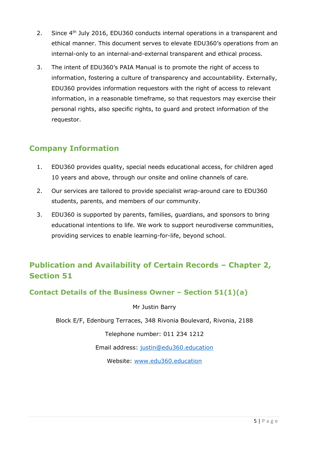- 2. Since 4<sup>th</sup> July 2016, EDU360 conducts internal operations in a transparent and ethical manner. This document serves to elevate EDU360's operations from an internal-only to an internal-and-external transparent and ethical process.
- 3. The intent of EDU360's PAIA Manual is to promote the right of access to information, fostering a culture of transparency and accountability. Externally, EDU360 provides information requestors with the right of access to relevant information, in a reasonable timeframe, so that requestors may exercise their personal rights, also specific rights, to guard and protect information of the requestor.

### <span id="page-4-0"></span>**Company Information**

- 1. EDU360 provides quality, special needs educational access, for children aged 10 years and above, through our onsite and online channels of care.
- 2. Our services are tailored to provide specialist wrap-around care to EDU360 students, parents, and members of our community.
- 3. EDU360 is supported by parents, families, guardians, and sponsors to bring educational intentions to life. We work to support neurodiverse communities, providing services to enable learning-for-life, beyond school.

# <span id="page-4-1"></span>**Publication and Availability of Certain Records – Chapter 2, Section 51**

### <span id="page-4-2"></span>**Contact Details of the Business Owner – Section 51(1)(a)**

Mr Justin Barry

Block E/F, Edenburg Terraces, 348 Rivonia Boulevard, Rivonia, 2188

Telephone number: 011 234 1212

Email address: [justin@edu360.education](mailto:justin@edu360.education)

Website: [www.edu360.education](http://www.edu360.education/)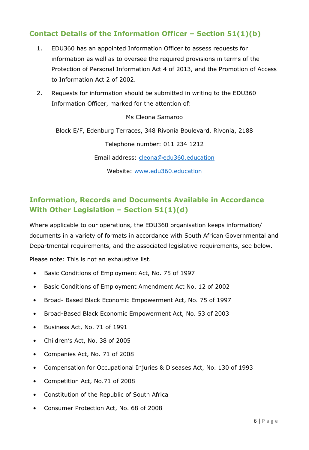# <span id="page-5-0"></span>**Contact Details of the Information Officer – Section 51(1)(b)**

- 1. EDU360 has an appointed Information Officer to assess requests for information as well as to oversee the required provisions in terms of the Protection of Personal Information Act 4 of 2013, and the Promotion of Access to Information Act 2 of 2002.
- 2. Requests for information should be submitted in writing to the EDU360 Information Officer, marked for the attention of:

Ms Cleona Samaroo

Block E/F, Edenburg Terraces, 348 Rivonia Boulevard, Rivonia, 2188

Telephone number: 011 234 1212

Email address: [cleona@edu360.education](mailto:cleona@edu360.education)

Website: [www.edu360.education](http://www.edu360.education/)

### <span id="page-5-1"></span>**Information, Records and Documents Available in Accordance With Other Legislation – Section 51(1)(d)**

Where applicable to our operations, the EDU360 organisation keeps information/ documents in a variety of formats in accordance with South African Governmental and Departmental requirements, and the associated legislative requirements, see below.

Please note: This is not an exhaustive list.

- Basic Conditions of Employment Act, No. 75 of 1997
- Basic Conditions of Employment Amendment Act No. 12 of 2002
- Broad- Based Black Economic Empowerment Act, No. 75 of 1997
- Broad-Based Black Economic Empowerment Act, No. 53 of 2003
- Business Act, No. 71 of 1991
- Children's Act, No. 38 of 2005
- Companies Act, No. 71 of 2008
- Compensation for Occupational Injuries & Diseases Act, No. 130 of 1993
- Competition Act, No.71 of 2008
- Constitution of the Republic of South Africa
- Consumer Protection Act, No. 68 of 2008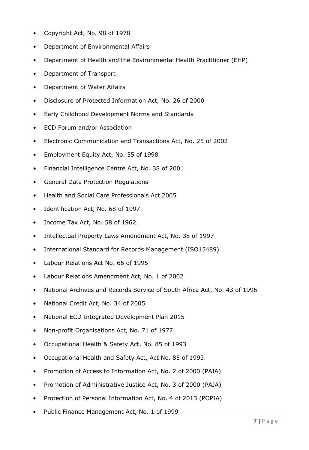- Copyright Act, No. 98 of 1978
- Department of Environmental Affairs
- Department of Health and the Environmental Health Practitioner (EHP)
- Department of Transport
- Department of Water Affairs
- Disclosure of Protected Information Act, No. 26 of 2000
- Early Childhood Development Norms and Standards
- ECD Forum and/or Association
- Electronic Communication and Transactions Act, No. 25 of 2002
- Employment Equity Act, No. 55 of 1998
- Financial Intelligence Centre Act, No. 38 of 2001
- General Data Protection Regulations
- Health and Social Care Professionals Act 2005
- Identification Act, No. 68 of 1997
- Income Tax Act, No. 58 of 1962.
- Intellectual Property Laws Amendment Act, No. 38 of 1997
- International Standard for Records Management (ISO15489)
- Labour Relations Act No. 66 of 1995
- Labour Relations Amendment Act, No. 1 of 2002
- National Archives and Records Service of South Africa Act, No. 43 of 1996
- National Credit Act, No. 34 of 2005
- National ECD Integrated Development Plan 2015
- Non-profit Organisations Act, No. 71 of 1977
- Occupational Health & Safety Act, No. 85 of 1993
- Occupational Health and Safety Act, Act No. 85 of 1993.
- Promotion of Access to Information Act, No. 2 of 2000 (PAIA)
- Promotion of Administrative Justice Act, No. 3 of 2000 (PAJA)
- Protection of Personal Information Act, No. 4 of 2013 (POPIA)
- Public Finance Management Act, No. 1 of 1999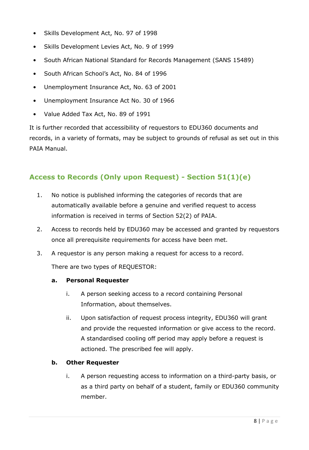- Skills Development Act, No. 97 of 1998
- Skills Development Levies Act, No. 9 of 1999
- South African National Standard for Records Management (SANS 15489)
- South African School's Act, No. 84 of 1996
- Unemployment Insurance Act, No. 63 of 2001
- Unemployment Insurance Act No. 30 of 1966
- Value Added Tax Act, No. 89 of 1991

It is further recorded that accessibility of requestors to EDU360 documents and records, in a variety of formats, may be subject to grounds of refusal as set out in this PAIA Manual.

### <span id="page-7-0"></span>**Access to Records (Only upon Request) - Section 51(1)(e)**

- 1. No notice is published informing the categories of records that are automatically available before a genuine and verified request to access information is received in terms of Section 52(2) of PAIA.
- 2. Access to records held by EDU360 may be accessed and granted by requestors once all prerequisite requirements for access have been met.
- 3. A requestor is any person making a request for access to a record.

There are two types of REQUESTOR:

#### **a. Personal Requester**

- i. A person seeking access to a record containing Personal Information, about themselves.
- ii. Upon satisfaction of request process integrity, EDU360 will grant and provide the requested information or give access to the record. A standardised cooling off period may apply before a request is actioned. The prescribed fee will apply.

#### **b. Other Requester**

i. A person requesting access to information on a third-party basis, or as a third party on behalf of a student, family or EDU360 community member.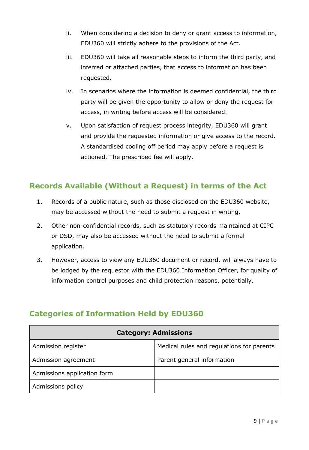- ii. When considering a decision to deny or grant access to information, EDU360 will strictly adhere to the provisions of the Act.
- iii. EDU360 will take all reasonable steps to inform the third party, and inferred or attached parties, that access to information has been requested.
- iv. In scenarios where the information is deemed confidential, the third party will be given the opportunity to allow or deny the request for access, in writing before access will be considered.
- v. Upon satisfaction of request process integrity, EDU360 will grant and provide the requested information or give access to the record. A standardised cooling off period may apply before a request is actioned. The prescribed fee will apply.

# <span id="page-8-0"></span>**Records Available (Without a Request) in terms of the Act**

- 1. Records of a public nature, such as those disclosed on the EDU360 website, may be accessed without the need to submit a request in writing.
- 2. Other non-confidential records, such as statutory records maintained at CIPC or DSD, may also be accessed without the need to submit a formal application.
- 3. However, access to view any EDU360 document or record, will always have to be lodged by the requestor with the EDU360 Information Officer, for quality of information control purposes and child protection reasons, potentially.

| <b>Category: Admissions</b> |                                           |
|-----------------------------|-------------------------------------------|
| Admission register          | Medical rules and regulations for parents |
| Admission agreement         | Parent general information                |
| Admissions application form |                                           |
| Admissions policy           |                                           |

# <span id="page-8-1"></span>**Categories of Information Held by EDU360**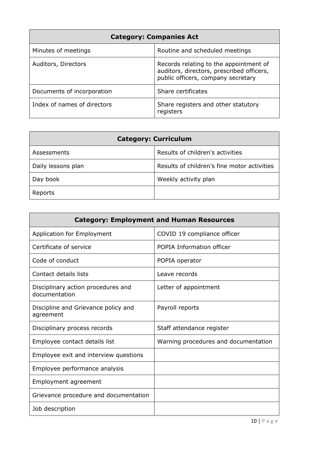| <b>Category: Companies Act</b> |                                                                                                                           |
|--------------------------------|---------------------------------------------------------------------------------------------------------------------------|
| Minutes of meetings            | Routine and scheduled meetings                                                                                            |
| Auditors, Directors            | Records relating to the appointment of<br>auditors, directors, prescribed officers,<br>public officers, company secretary |
| Documents of incorporation     | Share certificates                                                                                                        |
| Index of names of directors    | Share registers and other statutory<br>registers                                                                          |

| <b>Category: Curriculum</b> |                                             |
|-----------------------------|---------------------------------------------|
| Assessments                 | Results of children's activities            |
| Daily lessons plan          | Results of children's fine motor activities |
| Day book                    | Weekly activity plan                        |
| Reports                     |                                             |

| <b>Category: Employment and Human Resources</b>     |                                      |
|-----------------------------------------------------|--------------------------------------|
| <b>Application for Employment</b>                   | COVID 19 compliance officer          |
| Certificate of service                              | POPIA Information officer            |
| Code of conduct                                     | POPIA operator                       |
| Contact details lists                               | Leave records                        |
| Disciplinary action procedures and<br>documentation | Letter of appointment                |
| Discipline and Grievance policy and<br>agreement    | Payroll reports                      |
| Disciplinary process records                        | Staff attendance register            |
| Employee contact details list                       | Warning procedures and documentation |
| Employee exit and interview questions               |                                      |
| Employee performance analysis                       |                                      |
| Employment agreement                                |                                      |
| Grievance procedure and documentation               |                                      |
| Job description                                     |                                      |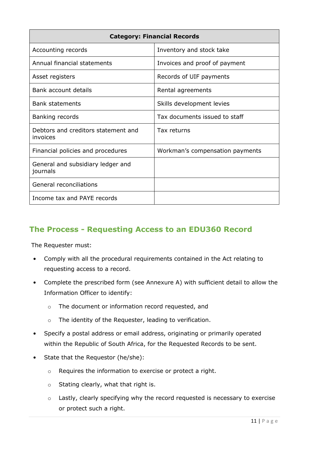| <b>Category: Financial Records</b>              |                                 |
|-------------------------------------------------|---------------------------------|
| Accounting records                              | Inventory and stock take        |
| Annual financial statements                     | Invoices and proof of payment   |
| Asset registers                                 | Records of UIF payments         |
| Bank account details                            | Rental agreements               |
| <b>Bank statements</b>                          | Skills development levies       |
| Banking records                                 | Tax documents issued to staff   |
| Debtors and creditors statement and<br>invoices | Tax returns                     |
| Financial policies and procedures               | Workman's compensation payments |
| General and subsidiary ledger and<br>journals   |                                 |
| General reconciliations                         |                                 |
| Income tax and PAYE records                     |                                 |

# <span id="page-10-0"></span>**The Process - Requesting Access to an EDU360 Record**

The Requester must:

- Comply with all the procedural requirements contained in the Act relating to requesting access to a record.
- Complete the prescribed form (see Annexure A) with sufficient detail to allow the Information Officer to identify:
	- o The document or information record requested, and
	- o The identity of the Requester, leading to verification.
- Specify a postal address or email address, originating or primarily operated within the Republic of South Africa, for the Requested Records to be sent.
- State that the Requestor (he/she):
	- o Requires the information to exercise or protect a right.
	- o Stating clearly, what that right is.
	- o Lastly, clearly specifying why the record requested is necessary to exercise or protect such a right.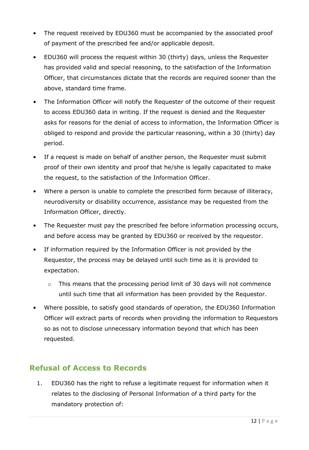- The request received by EDU360 must be accompanied by the associated proof of payment of the prescribed fee and/or applicable deposit.
- EDU360 will process the request within 30 (thirty) days, unless the Requester has provided valid and special reasoning, to the satisfaction of the Information Officer, that circumstances dictate that the records are required sooner than the above, standard time frame.
- The Information Officer will notify the Requester of the outcome of their request to access EDU360 data in writing. If the request is denied and the Requester asks for reasons for the denial of access to information, the Information Officer is obliged to respond and provide the particular reasoning, within a 30 (thirty) day period.
- If a request is made on behalf of another person, the Requester must submit proof of their own identity and proof that he/she is legally capacitated to make the request, to the satisfaction of the Information Officer.
- Where a person is unable to complete the prescribed form because of illiteracy, neurodiversity or disability occurrence, assistance may be requested from the Information Officer, directly.
- The Requester must pay the prescribed fee before information processing occurs, and before access may be granted by EDU360 or received by the requestor.
- If information required by the Information Officer is not provided by the Requestor, the process may be delayed until such time as it is provided to expectation.
	- o This means that the processing period limit of 30 days will not commence until such time that all information has been provided by the Requestor.
- Where possible, to satisfy good standards of operation, the EDU360 Information Officer will extract parts of records when providing the information to Requestors so as not to disclose unnecessary information beyond that which has been requested.

# <span id="page-11-0"></span>**Refusal of Access to Records**

1. EDU360 has the right to refuse a legitimate request for information when it relates to the disclosing of Personal Information of a third party for the mandatory protection of: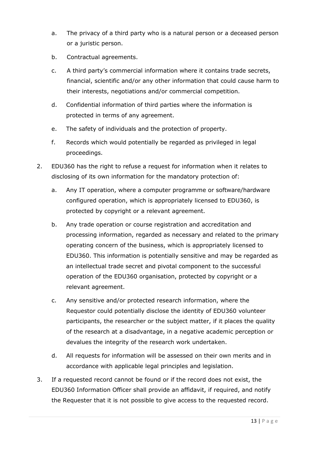- a. The privacy of a third party who is a natural person or a deceased person or a juristic person.
- b. Contractual agreements.
- c. A third party's commercial information where it contains trade secrets, financial, scientific and/or any other information that could cause harm to their interests, negotiations and/or commercial competition.
- d. Confidential information of third parties where the information is protected in terms of any agreement.
- e. The safety of individuals and the protection of property.
- f. Records which would potentially be regarded as privileged in legal proceedings.
- 2. EDU360 has the right to refuse a request for information when it relates to disclosing of its own information for the mandatory protection of:
	- a. Any IT operation, where a computer programme or software/hardware configured operation, which is appropriately licensed to EDU360, is protected by copyright or a relevant agreement.
	- b. Any trade operation or course registration and accreditation and processing information, regarded as necessary and related to the primary operating concern of the business, which is appropriately licensed to EDU360. This information is potentially sensitive and may be regarded as an intellectual trade secret and pivotal component to the successful operation of the EDU360 organisation, protected by copyright or a relevant agreement.
	- c. Any sensitive and/or protected research information, where the Requestor could potentially disclose the identity of EDU360 volunteer participants, the researcher or the subject matter, if it places the quality of the research at a disadvantage, in a negative academic perception or devalues the integrity of the research work undertaken.
	- d. All requests for information will be assessed on their own merits and in accordance with applicable legal principles and legislation.
- 3. If a requested record cannot be found or if the record does not exist, the EDU360 Information Officer shall provide an affidavit, if required, and notify the Requester that it is not possible to give access to the requested record.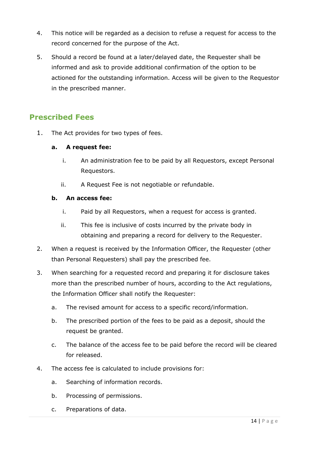- 4. This notice will be regarded as a decision to refuse a request for access to the record concerned for the purpose of the Act.
- 5. Should a record be found at a later/delayed date, the Requester shall be informed and ask to provide additional confirmation of the option to be actioned for the outstanding information. Access will be given to the Requestor in the prescribed manner.

# <span id="page-13-0"></span>**Prescribed Fees**

1. The Act provides for two types of fees.

#### **a. A request fee:**

- i. An administration fee to be paid by all Requestors, except Personal Requestors.
- ii. A Request Fee is not negotiable or refundable.

#### **b. An access fee:**

- i. Paid by all Requestors, when a request for access is granted.
- ii. This fee is inclusive of costs incurred by the private body in obtaining and preparing a record for delivery to the Requester.
- 2. When a request is received by the Information Officer, the Requester (other than Personal Requesters) shall pay the prescribed fee.
- 3. When searching for a requested record and preparing it for disclosure takes more than the prescribed number of hours, according to the Act regulations, the Information Officer shall notify the Requester:
	- a. The revised amount for access to a specific record/information.
	- b. The prescribed portion of the fees to be paid as a deposit, should the request be granted.
	- c. The balance of the access fee to be paid before the record will be cleared for released.
- 4. The access fee is calculated to include provisions for:
	- a. Searching of information records.
	- b. Processing of permissions.
	- c. Preparations of data.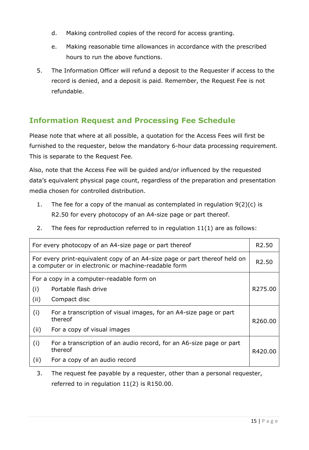- d. Making controlled copies of the record for access granting.
- e. Making reasonable time allowances in accordance with the prescribed hours to run the above functions.
- 5. The Information Officer will refund a deposit to the Requester if access to the record is denied, and a deposit is paid. Remember, the Request Fee is not refundable.

# <span id="page-14-0"></span>**Information Request and Processing Fee Schedule**

Please note that where at all possible, a quotation for the Access Fees will first be furnished to the requester, below the mandatory 6-hour data processing requirement. This is separate to the Request Fee.

Also, note that the Access Fee will be guided and/or influenced by the requested data's equivalent physical page count, regardless of the preparation and presentation media chosen for controlled distribution.

- 1. The fee for a copy of the manual as contemplated in regulation 9(2)(c) is R2.50 for every photocopy of an A4-size page or part thereof.
- 2. The fees for reproduction referred to in regulation 11(1) are as follows:

| For every photocopy of an A4-size page or part thereof                                                                             |                                                                                | R <sub>2.50</sub>   |
|------------------------------------------------------------------------------------------------------------------------------------|--------------------------------------------------------------------------------|---------------------|
| For every print-equivalent copy of an A4-size page or part thereof held on<br>a computer or in electronic or machine-readable form |                                                                                | R <sub>2</sub> .50  |
| For a copy in a computer-readable form on                                                                                          |                                                                                |                     |
| (i)                                                                                                                                | Portable flash drive                                                           | R <sub>275.00</sub> |
| (ii)                                                                                                                               | Compact disc                                                                   |                     |
| (i)                                                                                                                                | For a transcription of visual images, for an A4-size page or part<br>thereof   | R260.00             |
| (ii)                                                                                                                               | For a copy of visual images                                                    |                     |
| (i)                                                                                                                                | For a transcription of an audio record, for an A6-size page or part<br>thereof | R420.00             |
| (ii)                                                                                                                               | For a copy of an audio record                                                  |                     |

3. The request fee payable by a requester, other than a personal requester, referred to in regulation 11(2) is R150.00.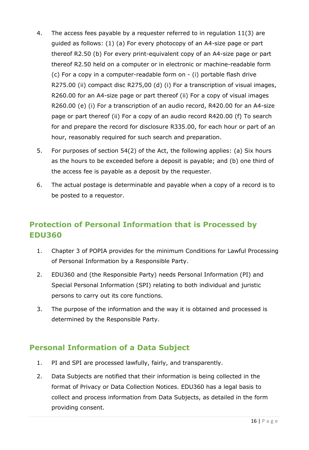- 4. The access fees payable by a requester referred to in regulation 11(3) are guided as follows: (1) (a) For every photocopy of an A4-size page or part thereof R2.50 (b) For every print-equivalent copy of an A4-size page or part thereof R2.50 held on a computer or in electronic or machine-readable form (c) For a copy in a computer-readable form on - (i) portable flash drive R275.00 (ii) compact disc R275,00 (d) (i) For a transcription of visual images, R260.00 for an A4-size page or part thereof (ii) For a copy of visual images R260.00 (e) (i) For a transcription of an audio record, R420.00 for an A4-size page or part thereof (ii) For a copy of an audio record R420.00 (f) To search for and prepare the record for disclosure R335.00, for each hour or part of an hour, reasonably required for such search and preparation.
- 5. For purposes of section 54(2) of the Act, the following applies: (a) Six hours as the hours to be exceeded before a deposit is payable; and (b) one third of the access fee is payable as a deposit by the requester.
- 6. The actual postage is determinable and payable when a copy of a record is to be posted to a requestor.

# <span id="page-15-0"></span>**Protection of Personal Information that is Processed by EDU360**

- 1. Chapter 3 of POPIA provides for the minimum Conditions for Lawful Processing of Personal Information by a Responsible Party.
- 2. EDU360 and (the Responsible Party) needs Personal Information (PI) and Special Personal Information (SPI) relating to both individual and juristic persons to carry out its core functions.
- 3. The purpose of the information and the way it is obtained and processed is determined by the Responsible Party.

# <span id="page-15-1"></span>**Personal Information of a Data Subject**

- 1. PI and SPI are processed lawfully, fairly, and transparently.
- 2. Data Subjects are notified that their information is being collected in the format of Privacy or Data Collection Notices. EDU360 has a legal basis to collect and process information from Data Subjects, as detailed in the form providing consent.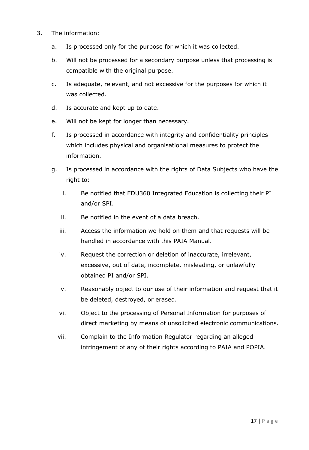- 3. The information:
	- a. Is processed only for the purpose for which it was collected.
	- b. Will not be processed for a secondary purpose unless that processing is compatible with the original purpose.
	- c. Is adequate, relevant, and not excessive for the purposes for which it was collected.
	- d. Is accurate and kept up to date.
	- e. Will not be kept for longer than necessary.
	- f. Is processed in accordance with integrity and confidentiality principles which includes physical and organisational measures to protect the information.
	- g. Is processed in accordance with the rights of Data Subjects who have the right to:
		- i. Be notified that EDU360 Integrated Education is collecting their PI and/or SPI.
		- ii. Be notified in the event of a data breach.
		- iii. Access the information we hold on them and that requests will be handled in accordance with this PAIA Manual.
		- iv. Request the correction or deletion of inaccurate, irrelevant, excessive, out of date, incomplete, misleading, or unlawfully obtained PI and/or SPI.
		- v. Reasonably object to our use of their information and request that it be deleted, destroyed, or erased.
		- vi. Object to the processing of Personal Information for purposes of direct marketing by means of unsolicited electronic communications.
		- vii. Complain to the Information Regulator regarding an alleged infringement of any of their rights according to PAIA and POPIA.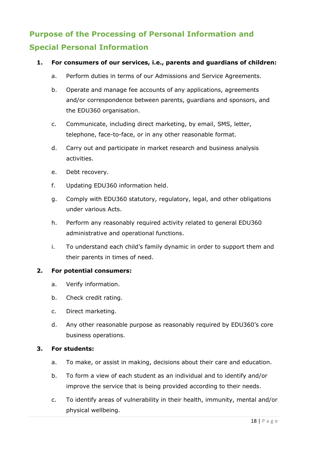# <span id="page-17-0"></span>**Purpose of the Processing of Personal Information and Special Personal Information**

#### **1. For consumers of our services, i.e., parents and guardians of children:**

- a. Perform duties in terms of our Admissions and Service Agreements.
- b. Operate and manage fee accounts of any applications, agreements and/or correspondence between parents, guardians and sponsors, and the EDU360 organisation.
- c. Communicate, including direct marketing, by email, SMS, letter, telephone, face-to-face, or in any other reasonable format.
- d. Carry out and participate in market research and business analysis activities.
- e. Debt recovery.
- f. Updating EDU360 information held.
- g. Comply with EDU360 statutory, regulatory, legal, and other obligations under various Acts.
- h. Perform any reasonably required activity related to general EDU360 administrative and operational functions.
- i. To understand each child's family dynamic in order to support them and their parents in times of need.

#### **2. For potential consumers:**

- a. Verify information.
- b. Check credit rating.
- c. Direct marketing.
- d. Any other reasonable purpose as reasonably required by EDU360's core business operations.

#### **3. For students:**

- a. To make, or assist in making, decisions about their care and education.
- b. To form a view of each student as an individual and to identify and/or improve the service that is being provided according to their needs.
- c. To identify areas of vulnerability in their health, immunity, mental and/or physical wellbeing.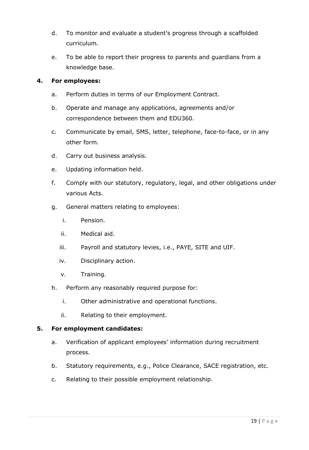- d. To monitor and evaluate a student's progress through a scaffolded curriculum.
- e. To be able to report their progress to parents and guardians from a knowledge base.

#### **4. For employees:**

- a. Perform duties in terms of our Employment Contract.
- b. Operate and manage any applications, agreements and/or correspondence between them and EDU360.
- c. Communicate by email, SMS, letter, telephone, face-to-face, or in any other form.
- d. Carry out business analysis.
- e. Updating information held.
- f. Comply with our statutory, regulatory, legal, and other obligations under various Acts.
- g. General matters relating to employees:
	- i. Pension.
	- ii. Medical aid.
	- iii. Payroll and statutory levies, i.e., PAYE, SITE and UIF.
	- iv. Disciplinary action.
	- v. Training.
- h. Perform any reasonably required purpose for:
	- i. Other administrative and operational functions.
	- ii. Relating to their employment.

#### **5. For employment candidates:**

- a. Verification of applicant employees' information during recruitment process.
- b. Statutory requirements, e.g., Police Clearance, SACE registration, etc.
- c. Relating to their possible employment relationship.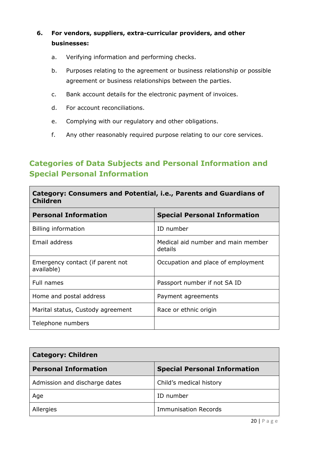### **6. For vendors, suppliers, extra-curricular providers, and other businesses:**

- a. Verifying information and performing checks.
- b. Purposes relating to the agreement or business relationship or possible agreement or business relationships between the parties.
- c. Bank account details for the electronic payment of invoices.
- d. For account reconciliations.
- e. Complying with our regulatory and other obligations.
- f. Any other reasonably required purpose relating to our core services.

# <span id="page-19-0"></span>**Categories of Data Subjects and Personal Information and Special Personal Information**

| Category: Consumers and Potential, i.e., Parents and Guardians of<br><b>Children</b> |                                               |
|--------------------------------------------------------------------------------------|-----------------------------------------------|
| <b>Personal Information</b>                                                          | <b>Special Personal Information</b>           |
| Billing information                                                                  | ID number                                     |
| Email address                                                                        | Medical aid number and main member<br>details |
| Emergency contact (if parent not<br>available)                                       | Occupation and place of employment            |
| Full names                                                                           | Passport number if not SA ID                  |
| Home and postal address                                                              | Payment agreements                            |
| Marital status, Custody agreement                                                    | Race or ethnic origin                         |
| Telephone numbers                                                                    |                                               |

| <b>Category: Children</b>     |                                     |  |
|-------------------------------|-------------------------------------|--|
| <b>Personal Information</b>   | <b>Special Personal Information</b> |  |
| Admission and discharge dates | Child's medical history             |  |
| Age                           | ID number                           |  |
| Allergies                     | <b>Immunisation Records</b>         |  |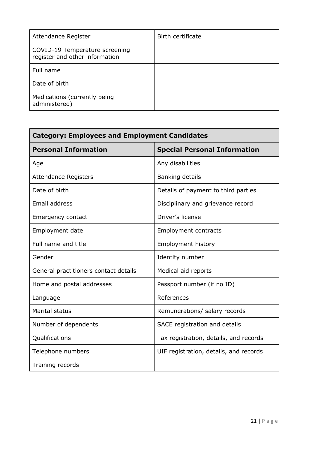| Attendance Register                                              | Birth certificate |
|------------------------------------------------------------------|-------------------|
| COVID-19 Temperature screening<br>register and other information |                   |
| Full name                                                        |                   |
| Date of birth                                                    |                   |
| Medications (currently being<br>administered)                    |                   |

| <b>Category: Employees and Employment Candidates</b> |                                        |
|------------------------------------------------------|----------------------------------------|
| <b>Personal Information</b>                          | <b>Special Personal Information</b>    |
| Age                                                  | Any disabilities                       |
| <b>Attendance Registers</b>                          | Banking details                        |
| Date of birth                                        | Details of payment to third parties    |
| Email address                                        | Disciplinary and grievance record      |
| Emergency contact                                    | Driver's license                       |
| Employment date                                      | <b>Employment contracts</b>            |
| Full name and title                                  | <b>Employment history</b>              |
| Gender                                               | Identity number                        |
| General practitioners contact details                | Medical aid reports                    |
| Home and postal addresses                            | Passport number (if no ID)             |
| Language                                             | References                             |
| <b>Marital status</b>                                | Remunerations/ salary records          |
| Number of dependents                                 | SACE registration and details          |
| Qualifications                                       | Tax registration, details, and records |
| Telephone numbers                                    | UIF registration, details, and records |
| Training records                                     |                                        |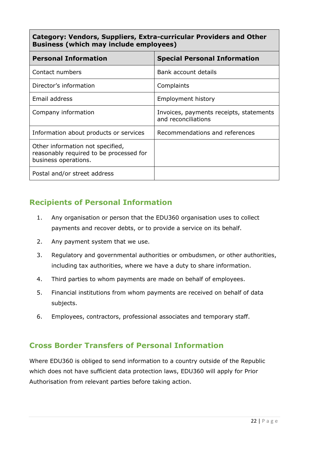**Category: Vendors, Suppliers, Extra-curricular Providers and Other Business (which may include employees)** 

| <b>Personal Information</b>                                                                         | <b>Special Personal Information</b>                            |
|-----------------------------------------------------------------------------------------------------|----------------------------------------------------------------|
| Contact numbers                                                                                     | Bank account details                                           |
| Director's information                                                                              | Complaints                                                     |
| Email address                                                                                       | <b>Employment history</b>                                      |
| Company information                                                                                 | Invoices, payments receipts, statements<br>and reconciliations |
| Information about products or services                                                              | Recommendations and references                                 |
| Other information not specified,<br>reasonably required to be processed for<br>business operations. |                                                                |
| Postal and/or street address                                                                        |                                                                |

# <span id="page-21-0"></span>**Recipients of Personal Information**

- 1. Any organisation or person that the EDU360 organisation uses to collect payments and recover debts, or to provide a service on its behalf.
- 2. Any payment system that we use.
- 3. Regulatory and governmental authorities or ombudsmen, or other authorities, including tax authorities, where we have a duty to share information.
- 4. Third parties to whom payments are made on behalf of employees.
- 5. Financial institutions from whom payments are received on behalf of data subjects.
- 6. Employees, contractors, professional associates and temporary staff.

### <span id="page-21-1"></span>**Cross Border Transfers of Personal Information**

Where EDU360 is obliged to send information to a country outside of the Republic which does not have sufficient data protection laws, EDU360 will apply for Prior Authorisation from relevant parties before taking action.